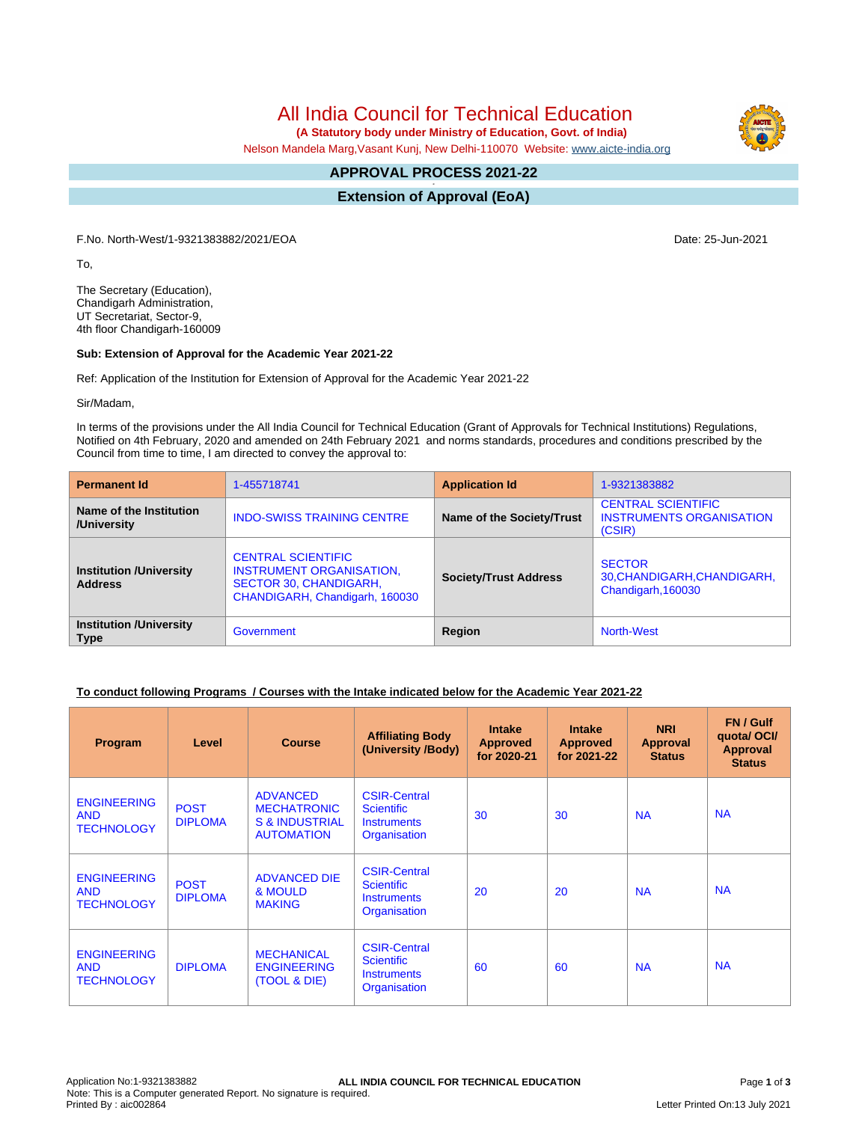# All India Council for Technical Education

 **(A Statutory body under Ministry of Education, Govt. of India)**

Nelson Mandela Marg,Vasant Kunj, New Delhi-110070 Website: [www.aicte-india.org](http://www.aicte-india.org)

#### **APPROVAL PROCESS 2021-22 -**

**Extension of Approval (EoA)**

F.No. North-West/1-9321383882/2021/EOA Date: 25-Jun-2021

To,

The Secretary (Education), Chandigarh Administration, UT Secretariat, Sector-9, 4th floor Chandigarh-160009

#### **Sub: Extension of Approval for the Academic Year 2021-22**

Ref: Application of the Institution for Extension of Approval for the Academic Year 2021-22

Sir/Madam,

In terms of the provisions under the All India Council for Technical Education (Grant of Approvals for Technical Institutions) Regulations, Notified on 4th February, 2020 and amended on 24th February 2021 and norms standards, procedures and conditions prescribed by the Council from time to time, I am directed to convey the approval to:

| <b>Permanent Id</b>                              | 1-455718741                                                                                                              | <b>Application Id</b>        | 1-9321383882                                                           |  |  |
|--------------------------------------------------|--------------------------------------------------------------------------------------------------------------------------|------------------------------|------------------------------------------------------------------------|--|--|
| Name of the Institution<br>/University           | <b>INDO-SWISS TRAINING CENTRE</b>                                                                                        | Name of the Society/Trust    | <b>CENTRAL SCIENTIFIC</b><br><b>INSTRUMENTS ORGANISATION</b><br>(CSIR) |  |  |
| <b>Institution /University</b><br><b>Address</b> | <b>CENTRAL SCIENTIFIC</b><br><b>INSTRUMENT ORGANISATION.</b><br>SECTOR 30, CHANDIGARH,<br>CHANDIGARH, Chandigarh, 160030 | <b>Society/Trust Address</b> | <b>SECTOR</b><br>30, CHANDIGARH, CHANDIGARH,<br>Chandigarh, 160030     |  |  |
| <b>Institution /University</b><br><b>Type</b>    | Government                                                                                                               | Region                       | North-West                                                             |  |  |

### **To conduct following Programs / Courses with the Intake indicated below for the Academic Year 2021-22**

| Program                                               | Level                         | <b>Course</b>                                                                           | <b>Affiliating Body</b><br>(University /Body)                                  | <b>Intake</b><br><b>Approved</b><br>for 2020-21 | <b>Intake</b><br><b>Approved</b><br>for 2021-22 | <b>NRI</b><br>Approval<br><b>Status</b> | FN / Gulf<br>quotal OCI/<br><b>Approval</b><br><b>Status</b> |
|-------------------------------------------------------|-------------------------------|-----------------------------------------------------------------------------------------|--------------------------------------------------------------------------------|-------------------------------------------------|-------------------------------------------------|-----------------------------------------|--------------------------------------------------------------|
| <b>ENGINEERING</b><br><b>AND</b><br><b>TECHNOLOGY</b> | <b>POST</b><br><b>DIPLOMA</b> | <b>ADVANCED</b><br><b>MECHATRONIC</b><br><b>S &amp; INDUSTRIAL</b><br><b>AUTOMATION</b> | <b>CSIR-Central</b><br><b>Scientific</b><br><b>Instruments</b><br>Organisation | 30                                              | 30                                              | <b>NA</b>                               | <b>NA</b>                                                    |
| <b>ENGINEERING</b><br><b>AND</b><br><b>TECHNOLOGY</b> | <b>POST</b><br><b>DIPLOMA</b> | <b>ADVANCED DIE</b><br>& MOULD<br><b>MAKING</b>                                         | <b>CSIR-Central</b><br><b>Scientific</b><br><b>Instruments</b><br>Organisation | 20                                              | 20                                              | <b>NA</b>                               | <b>NA</b>                                                    |
| <b>ENGINEERING</b><br><b>AND</b><br><b>TECHNOLOGY</b> | <b>DIPLOMA</b>                | <b>MECHANICAL</b><br><b>ENGINEERING</b><br>(TOOL & DIE)                                 | <b>CSIR-Central</b><br><b>Scientific</b><br><b>Instruments</b><br>Organisation | 60                                              | 60                                              | <b>NA</b>                               | <b>NA</b>                                                    |

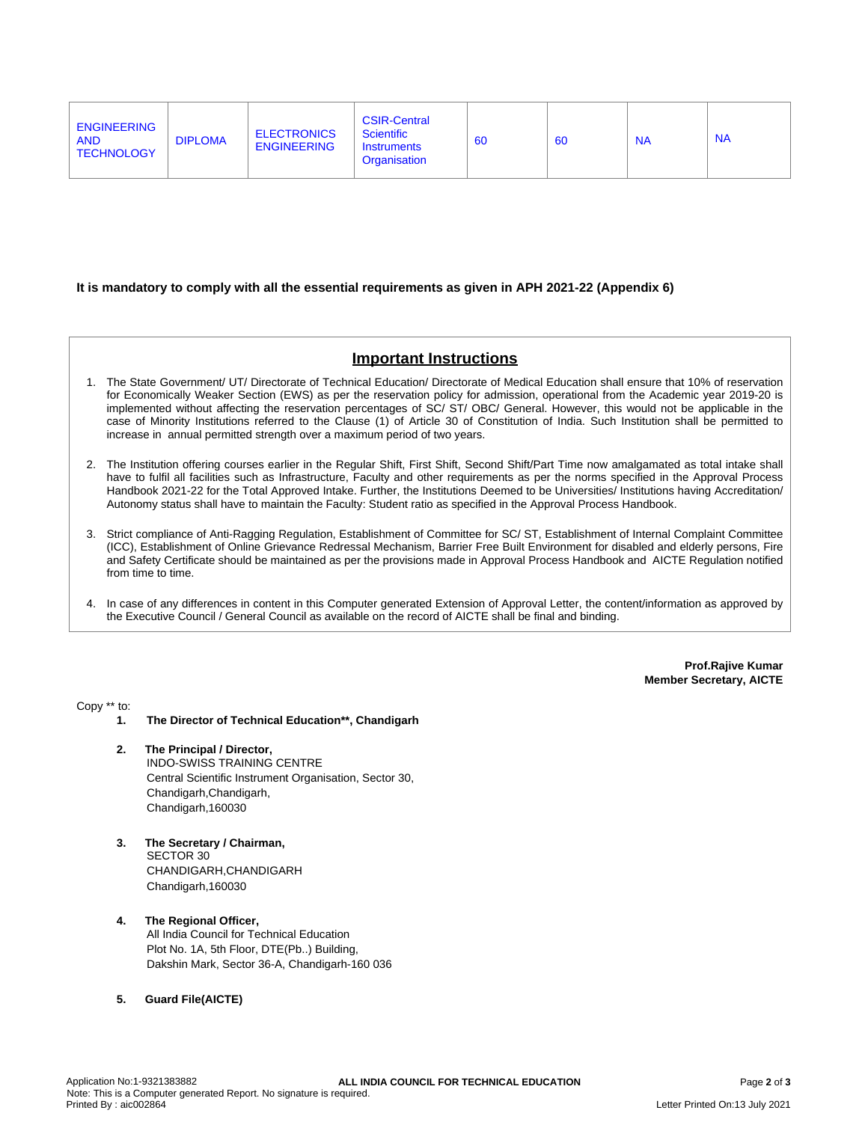#### **It is mandatory to comply with all the essential requirements as given in APH 2021-22 (Appendix 6)**

## **Important Instructions**

- 1. The State Government/ UT/ Directorate of Technical Education/ Directorate of Medical Education shall ensure that 10% of reservation for Economically Weaker Section (EWS) as per the reservation policy for admission, operational from the Academic year 2019-20 is implemented without affecting the reservation percentages of SC/ ST/ OBC/ General. However, this would not be applicable in the case of Minority Institutions referred to the Clause (1) of Article 30 of Constitution of India. Such Institution shall be permitted to increase in annual permitted strength over a maximum period of two years.
- 2. The Institution offering courses earlier in the Regular Shift, First Shift, Second Shift/Part Time now amalgamated as total intake shall have to fulfil all facilities such as Infrastructure, Faculty and other requirements as per the norms specified in the Approval Process Handbook 2021-22 for the Total Approved Intake. Further, the Institutions Deemed to be Universities/ Institutions having Accreditation/ Autonomy status shall have to maintain the Faculty: Student ratio as specified in the Approval Process Handbook.
- 3. Strict compliance of Anti-Ragging Regulation, Establishment of Committee for SC/ ST, Establishment of Internal Complaint Committee (ICC), Establishment of Online Grievance Redressal Mechanism, Barrier Free Built Environment for disabled and elderly persons, Fire and Safety Certificate should be maintained as per the provisions made in Approval Process Handbook and AICTE Regulation notified from time to time.
- 4. In case of any differences in content in this Computer generated Extension of Approval Letter, the content/information as approved by the Executive Council / General Council as available on the record of AICTE shall be final and binding.

**Prof.Rajive Kumar Member Secretary, AICTE**

Copy \*\* to:

- **1. The Director of Technical Education\*\*, Chandigarh**
- **2. The Principal / Director,** INDO-SWISS TRAINING CENTRE Central Scientific Instrument Organisation, Sector 30, Chandigarh,Chandigarh, Chandigarh,160030
- **3. The Secretary / Chairman,** SECTOR 30 CHANDIGARH,CHANDIGARH Chandigarh,160030
- **4. The Regional Officer,** All India Council for Technical Education Plot No. 1A, 5th Floor, DTE(Pb..) Building, Dakshin Mark, Sector 36-A, Chandigarh-160 036
- **5. Guard File(AICTE)**